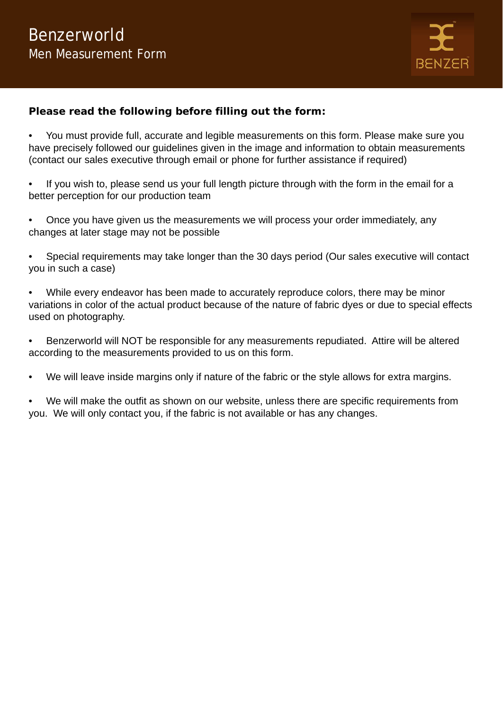

## **Please read the following before filling out the form:**

- You must provide full, accurate and legible measurements on this form. Please make sure you have precisely followed our guidelines given in the image and information to obtain measurements (contact our sales executive through email or phone for further assistance if required)
- If you wish to, please send us your full length picture through with the form in the email for a better perception for our production team
- Once you have given us the measurements we will process your order immediately, any changes at later stage may not be possible
- Special requirements may take longer than the 30 days period (Our sales executive will contact you in such a case)
- While every endeavor has been made to accurately reproduce colors, there may be minor variations in color of the actual product because of the nature of fabric dyes or due to special effects used on photography.
- Benzerworld will NOT be responsible for any measurements repudiated. Attire will be altered according to the measurements provided to us on this form.
- We will leave inside margins only if nature of the fabric or the style allows for extra margins.
- We will make the outfit as shown on our website, unless there are specific requirements from you. We will only contact you, if the fabric is not available or has any changes.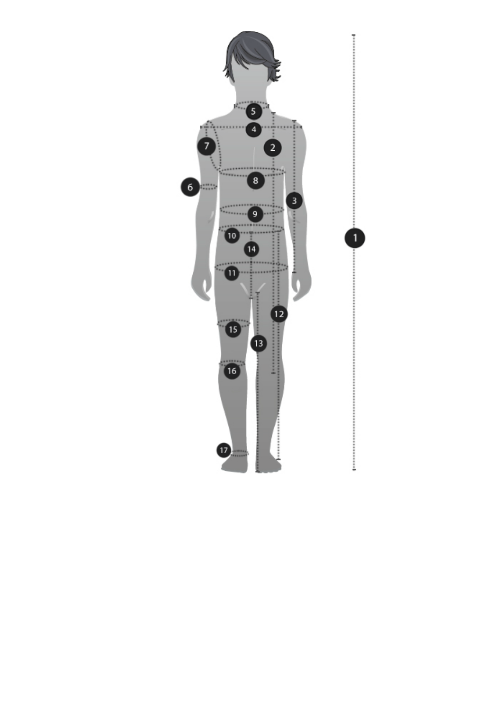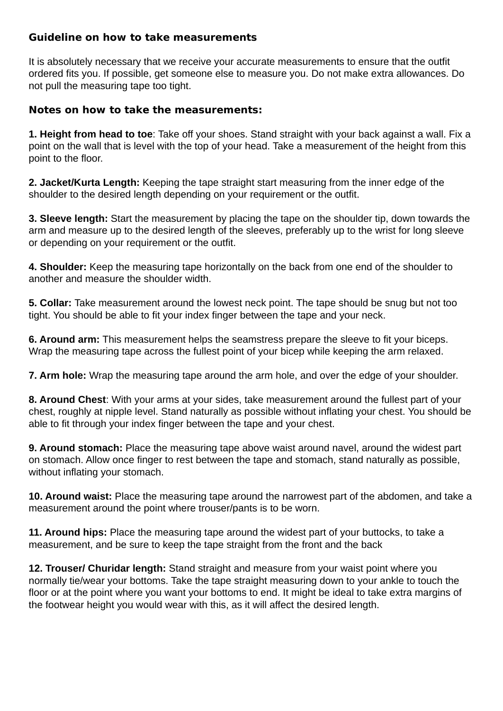### **Guideline on how to take measurements**

It is absolutely necessary that we receive your accurate measurements to ensure that the outfit ordered fits you. If possible, get someone else to measure you. Do not make extra allowances. Do not pull the measuring tape too tight.

#### **Notes on how to take the measurements:**

**1. Height from head to toe**: Take off your shoes. Stand straight with your back against a wall. Fix a point on the wall that is level with the top of your head. Take a measurement of the height from this point to the floor.

**2. Jacket/Kurta Length:** Keeping the tape straight start measuring from the inner edge of the shoulder to the desired length depending on your requirement or the outfit.

**3. Sleeve length:** Start the measurement by placing the tape on the shoulder tip, down towards the arm and measure up to the desired length of the sleeves, preferably up to the wrist for long sleeve or depending on your requirement or the outfit.

**4. Shoulder:** Keep the measuring tape horizontally on the back from one end of the shoulder to another and measure the shoulder width.

**5. Collar:** Take measurement around the lowest neck point. The tape should be snug but not too tight. You should be able to fit your index finger between the tape and your neck.

**6. Around arm:** This measurement helps the seamstress prepare the sleeve to fit your biceps. Wrap the measuring tape across the fullest point of your bicep while keeping the arm relaxed.

**7. Arm hole:** Wrap the measuring tape around the arm hole, and over the edge of your shoulder.

**8. Around Chest**: With your arms at your sides, take measurement around the fullest part of your chest, roughly at nipple level. Stand naturally as possible without inflating your chest. You should be able to fit through your index finger between the tape and your chest.

**9. Around stomach:** Place the measuring tape above waist around navel, around the widest part on stomach. Allow once finger to rest between the tape and stomach, stand naturally as possible, without inflating your stomach.

**10. Around waist:** Place the measuring tape around the narrowest part of the abdomen, and take a measurement around the point where trouser/pants is to be worn.

**11. Around hips:** Place the measuring tape around the widest part of your buttocks, to take a measurement, and be sure to keep the tape straight from the front and the back

**12. Trouser/ Churidar length:** Stand straight and measure from your waist point where you normally tie/wear your bottoms. Take the tape straight measuring down to your ankle to touch the floor or at the point where you want your bottoms to end. It might be ideal to take extra margins of the footwear height you would wear with this, as it will affect the desired length.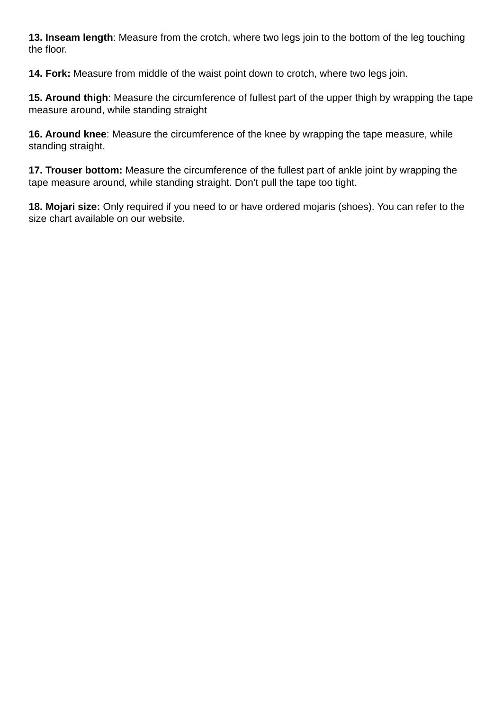**13. Inseam length**: Measure from the crotch, where two legs join to the bottom of the leg touching the floor.

**14. Fork:** Measure from middle of the waist point down to crotch, where two legs join.

**15. Around thigh**: Measure the circumference of fullest part of the upper thigh by wrapping the tape measure around, while standing straight

**16. Around knee**: Measure the circumference of the knee by wrapping the tape measure, while standing straight.

**17. Trouser bottom:** Measure the circumference of the fullest part of ankle joint by wrapping the tape measure around, while standing straight. Don't pull the tape too tight.

**18. Mojari size:** Only required if you need to or have ordered mojaris (shoes). You can refer to the size chart available on our website.